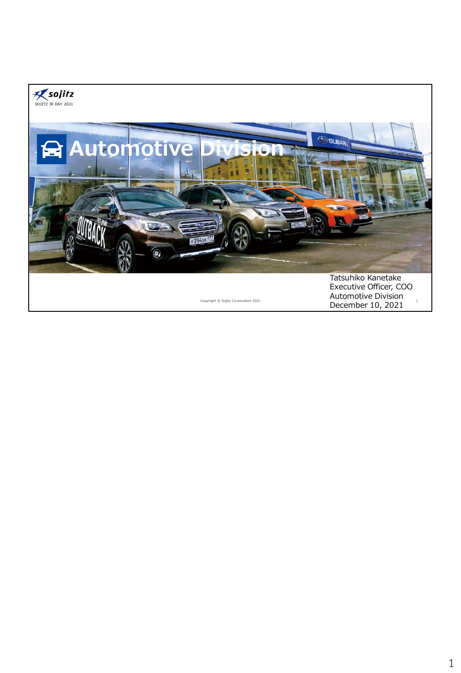

December 10, 2021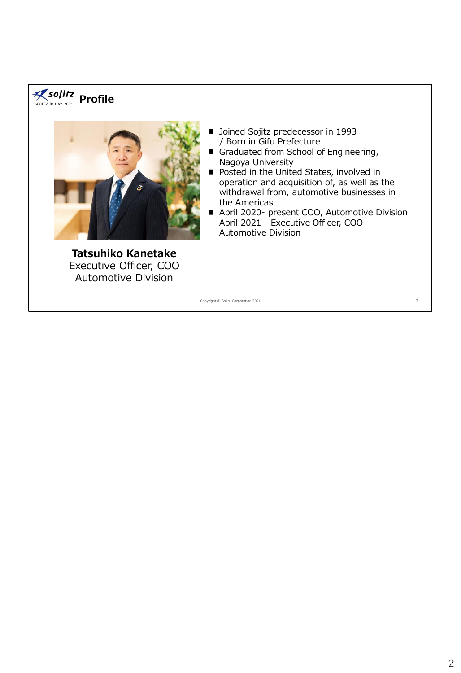## SOJITZ IR DAY 2021 **Profile**



**Tatsuhiko Kanetake** Executive Officer, COO Automotive Division

- Joined Sojitz predecessor in 1993 / Born in Gifu Prefecture
- Graduated from School of Engineering, Nagoya University
- Posted in the United States, involved in operation and acquisition of, as well as the withdrawal from, automotive businesses in the Americas
- April 2020- present COO, Automotive Division April 2021 - Executive Officer, COO Automotive Division

Copyright © Sojitz Corporation 2021 2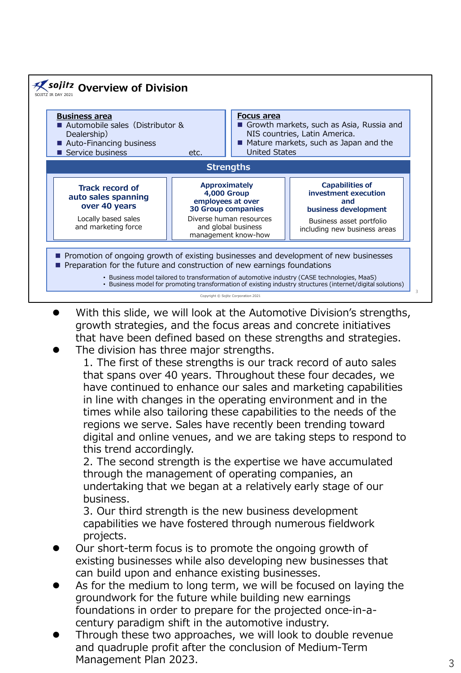

- ⚫ With this slide, we will look at the Automotive Division's strengths, growth strategies, and the focus areas and concrete initiatives that have been defined based on these strengths and strategies.
	- ⚫ The division has three major strengths. 1. The first of these strengths is our track record of auto sales that spans over 40 years. Throughout these four decades, we have continued to enhance our sales and marketing capabilities in line with changes in the operating environment and in the times while also tailoring these capabilities to the needs of the regions we serve. Sales have recently been trending toward digital and online venues, and we are taking steps to respond to this trend accordingly.

2. The second strength is the expertise we have accumulated through the management of operating companies, an undertaking that we began at a relatively early stage of our business.

3. Our third strength is the new business development capabilities we have fostered through numerous fieldwork projects.

- ⚫ Our short-term focus is to promote the ongoing growth of existing businesses while also developing new businesses that can build upon and enhance existing businesses.
- As for the medium to long term, we will be focused on laying the groundwork for the future while building new earnings foundations in order to prepare for the projected once-in-acentury paradigm shift in the automotive industry.
- ⚫ Through these two approaches, we will look to double revenue and quadruple profit after the conclusion of Medium-Term Management Plan 2023. 33. September 2023.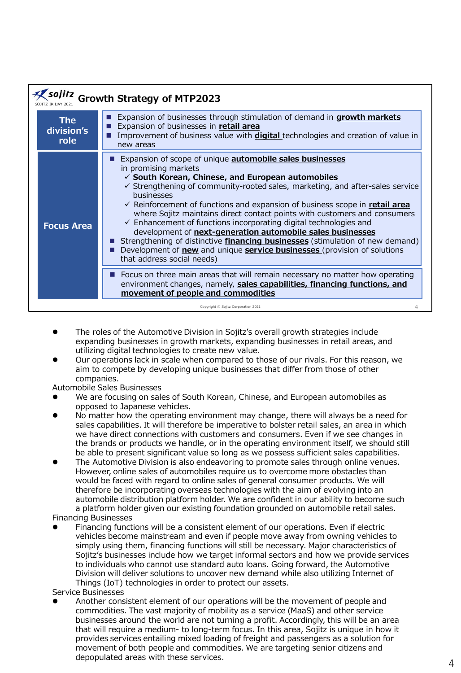| sojitz<br><b>Growth Strategy of MTP2023</b> |                                     |                                                                                                                                                                                                                                                                                                                                                                                                                                                                                                                                                                                                                                                                                                                                                                                          |  |
|---------------------------------------------|-------------------------------------|------------------------------------------------------------------------------------------------------------------------------------------------------------------------------------------------------------------------------------------------------------------------------------------------------------------------------------------------------------------------------------------------------------------------------------------------------------------------------------------------------------------------------------------------------------------------------------------------------------------------------------------------------------------------------------------------------------------------------------------------------------------------------------------|--|
|                                             | <b>The</b><br>division's<br>role    | Expansion of businesses through stimulation of demand in growth markets<br>Expansion of businesses in retail area<br>Improvement of business value with <b>digital</b> technologies and creation of value in<br>new areas                                                                                                                                                                                                                                                                                                                                                                                                                                                                                                                                                                |  |
|                                             | <b>Focus Area</b>                   | Expansion of scope of unique <b>automobile sales businesses</b><br>in promising markets<br>$\checkmark$ South Korean, Chinese, and European automobiles<br>$\checkmark$ Strengthening of community-rooted sales, marketing, and after-sales service<br>businesses<br>$\checkmark$ Reinforcement of functions and expansion of business scope in retail area<br>where Sojitz maintains direct contact points with customers and consumers<br>$\checkmark$ Enhancement of functions incorporating digital technologies and<br>development of next-generation automobile sales businesses<br>Strengthening of distinctive <i>financing businesses</i> (stimulation of new demand)<br>Development of new and unique service businesses (provision of solutions<br>that address social needs) |  |
|                                             |                                     | Focus on three main areas that will remain necessary no matter how operating<br>environment changes, namely, sales capabilities, financing functions, and<br>movement of people and commodities                                                                                                                                                                                                                                                                                                                                                                                                                                                                                                                                                                                          |  |
|                                             | Copyright © Sojitz Corporation 2021 |                                                                                                                                                                                                                                                                                                                                                                                                                                                                                                                                                                                                                                                                                                                                                                                          |  |

- ⚫ The roles of the Automotive Division in Sojitz's overall growth strategies include expanding businesses in growth markets, expanding businesses in retail areas, and utilizing digital technologies to create new value.
- ⚫ Our operations lack in scale when compared to those of our rivals. For this reason, we aim to compete by developing unique businesses that differ from those of other companies.
- Automobile Sales Businesses
- ⚫ We are focusing on sales of South Korean, Chinese, and European automobiles as opposed to Japanese vehicles.
- ⚫ No matter how the operating environment may change, there will always be a need for sales capabilities. It will therefore be imperative to bolster retail sales, an area in which we have direct connections with customers and consumers. Even if we see changes in the brands or products we handle, or in the operating environment itself, we should still be able to present significant value so long as we possess sufficient sales capabilities.
- ⚫ The Automotive Division is also endeavoring to promote sales through online venues. However, online sales of automobiles require us to overcome more obstacles than would be faced with regard to online sales of general consumer products. We will therefore be incorporating overseas technologies with the aim of evolving into an automobile distribution platform holder. We are confident in our ability to become such a platform holder given our existing foundation grounded on automobile retail sales.
- Financing Businesses
- ⚫ Financing functions will be a consistent element of our operations. Even if electric vehicles become mainstream and even if people move away from owning vehicles to simply using them, financing functions will still be necessary. Major characteristics of Sojitz's businesses include how we target informal sectors and how we provide services to individuals who cannot use standard auto loans. Going forward, the Automotive Division will deliver solutions to uncover new demand while also utilizing Internet of Things (IoT) technologies in order to protect our assets.
- Service Businesses
- ⚫ Another consistent element of our operations will be the movement of people and commodities. The vast majority of mobility as a service (MaaS) and other service businesses around the world are not turning a profit. Accordingly, this will be an area that will require a medium- to long-term focus. In this area, Sojitz is unique in how it provides services entailing mixed loading of freight and passengers as a solution for movement of both people and commodities. We are targeting senior citizens and depopulated areas with these services.  $4\overline{4}$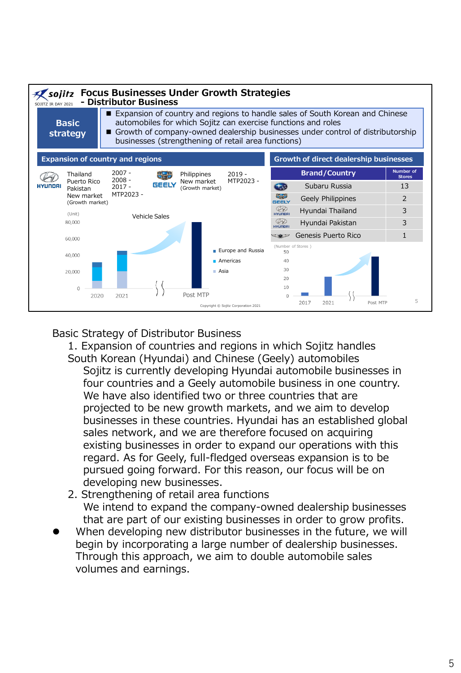

## Basic Strategy of Distributor Business

- 1. Expansion of countries and regions in which Sojitz handles South Korean (Hyundai) and Chinese (Geely) automobiles Sojitz is currently developing Hyundai automobile businesses in four countries and a Geely automobile business in one country. We have also identified two or three countries that are projected to be new growth markets, and we aim to develop businesses in these countries. Hyundai has an established global sales network, and we are therefore focused on acquiring existing businesses in order to expand our operations with this regard. As for Geely, full-fledged overseas expansion is to be pursued going forward. For this reason, our focus will be on developing new businesses.
- 2. Strengthening of retail area functions We intend to expand the company-owned dealership businesses that are part of our existing businesses in order to grow profits.
- ⚫ When developing new distributor businesses in the future, we will begin by incorporating a large number of dealership businesses. Through this approach, we aim to double automobile sales volumes and earnings.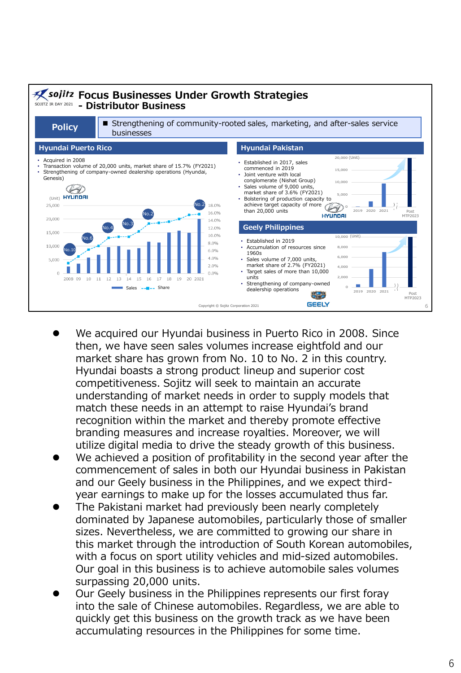

- ⚫ We acquired our Hyundai business in Puerto Rico in 2008. Since then, we have seen sales volumes increase eightfold and our market share has grown from No. 10 to No. 2 in this country. Hyundai boasts a strong product lineup and superior cost competitiveness. Sojitz will seek to maintain an accurate understanding of market needs in order to supply models that match these needs in an attempt to raise Hyundai's brand recognition within the market and thereby promote effective branding measures and increase royalties. Moreover, we will utilize digital media to drive the steady growth of this business.
- We achieved a position of profitability in the second year after the commencement of sales in both our Hyundai business in Pakistan and our Geely business in the Philippines, and we expect thirdyear earnings to make up for the losses accumulated thus far.
- ⚫ The Pakistani market had previously been nearly completely dominated by Japanese automobiles, particularly those of smaller sizes. Nevertheless, we are committed to growing our share in this market through the introduction of South Korean automobiles, with a focus on sport utility vehicles and mid-sized automobiles. Our goal in this business is to achieve automobile sales volumes surpassing 20,000 units.
- ⚫ Our Geely business in the Philippines represents our first foray into the sale of Chinese automobiles. Regardless, we are able to quickly get this business on the growth track as we have been accumulating resources in the Philippines for some time.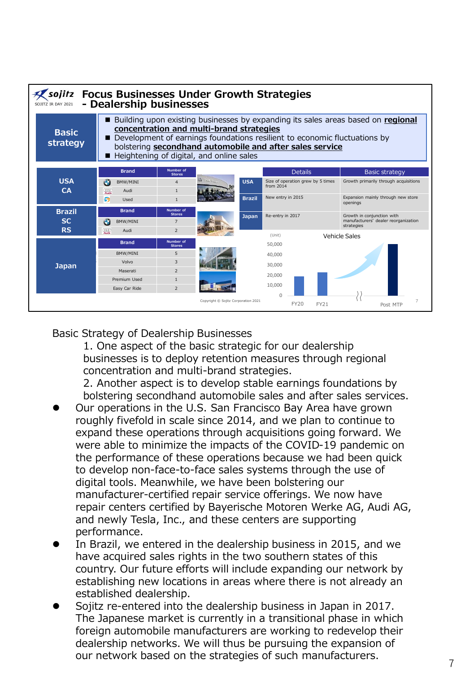

## Basic Strategy of Dealership Businesses

1. One aspect of the basic strategic for our dealership businesses is to deploy retention measures through regional concentration and multi-brand strategies.

2. Another aspect is to develop stable earnings foundations by bolstering secondhand automobile sales and after sales services.

- ⚫ Our operations in the U.S. San Francisco Bay Area have grown roughly fivefold in scale since 2014, and we plan to continue to expand these operations through acquisitions going forward. We were able to minimize the impacts of the COVID-19 pandemic on the performance of these operations because we had been quick to develop non-face-to-face sales systems through the use of digital tools. Meanwhile, we have been bolstering our manufacturer-certified repair service offerings. We now have repair centers certified by Bayerische Motoren Werke AG, Audi AG, and newly Tesla, Inc., and these centers are supporting performance.
- ⚫ In Brazil, we entered in the dealership business in 2015, and we have acquired sales rights in the two southern states of this country. Our future efforts will include expanding our network by establishing new locations in areas where there is not already an established dealership.
- ⚫ Sojitz re-entered into the dealership business in Japan in 2017. The Japanese market is currently in a transitional phase in which foreign automobile manufacturers are working to redevelop their dealership networks. We will thus be pursuing the expansion of our network based on the strategies of such manufacturers.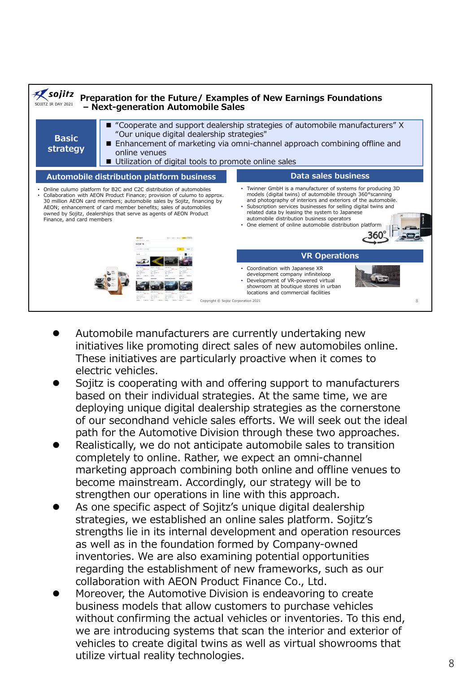

- ⚫ Automobile manufacturers are currently undertaking new initiatives like promoting direct sales of new automobiles online. These initiatives are particularly proactive when it comes to electric vehicles.
- ⚫ Sojitz is cooperating with and offering support to manufacturers based on their individual strategies. At the same time, we are deploying unique digital dealership strategies as the cornerstone of our secondhand vehicle sales efforts. We will seek out the ideal path for the Automotive Division through these two approaches.
- ⚫ Realistically, we do not anticipate automobile sales to transition completely to online. Rather, we expect an omni-channel marketing approach combining both online and offline venues to become mainstream. Accordingly, our strategy will be to strengthen our operations in line with this approach.
- As one specific aspect of Sojitz's unique digital dealership strategies, we established an online sales platform. Sojitz's strengths lie in its internal development and operation resources as well as in the foundation formed by Company-owned inventories. We are also examining potential opportunities regarding the establishment of new frameworks, such as our collaboration with AEON Product Finance Co., Ltd.
- ⚫ Moreover, the Automotive Division is endeavoring to create business models that allow customers to purchase vehicles without confirming the actual vehicles or inventories. To this end, we are introducing systems that scan the interior and exterior of vehicles to create digital twins as well as virtual showrooms that utilize virtual reality technologies.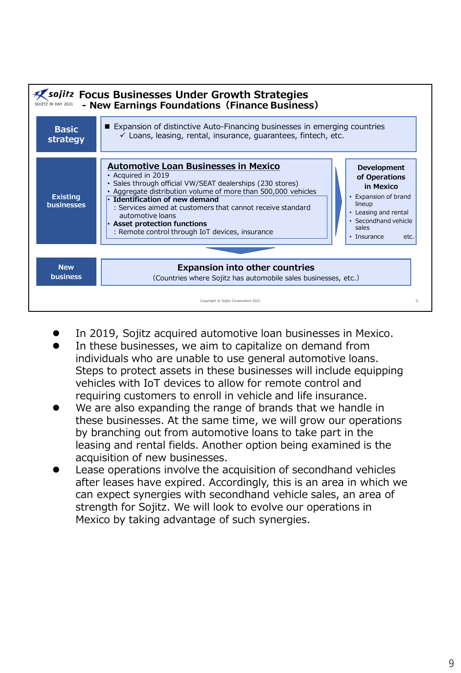

- ⚫ In 2019, Sojitz acquired automotive loan businesses in Mexico.
- ⚫ In these businesses, we aim to capitalize on demand from individuals who are unable to use general automotive loans. Steps to protect assets in these businesses will include equipping vehicles with IoT devices to allow for remote control and requiring customers to enroll in vehicle and life insurance.
- We are also expanding the range of brands that we handle in these businesses. At the same time, we will grow our operations by branching out from automotive loans to take part in the leasing and rental fields. Another option being examined is the acquisition of new businesses.
- ⚫ Lease operations involve the acquisition of secondhand vehicles after leases have expired. Accordingly, this is an area in which we can expect synergies with secondhand vehicle sales, an area of strength for Sojitz. We will look to evolve our operations in Mexico by taking advantage of such synergies.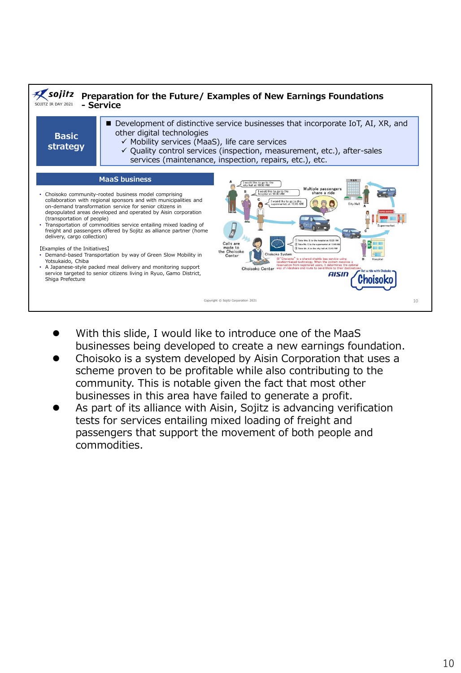

- ⚫ With this slide, I would like to introduce one of the MaaS businesses being developed to create a new earnings foundation.
- ⚫ Choisoko is a system developed by Aisin Corporation that uses a scheme proven to be profitable while also contributing to the community. This is notable given the fact that most other businesses in this area have failed to generate a profit.
- ⚫ As part of its alliance with Aisin, Sojitz is advancing verification tests for services entailing mixed loading of freight and passengers that support the movement of both people and commodities.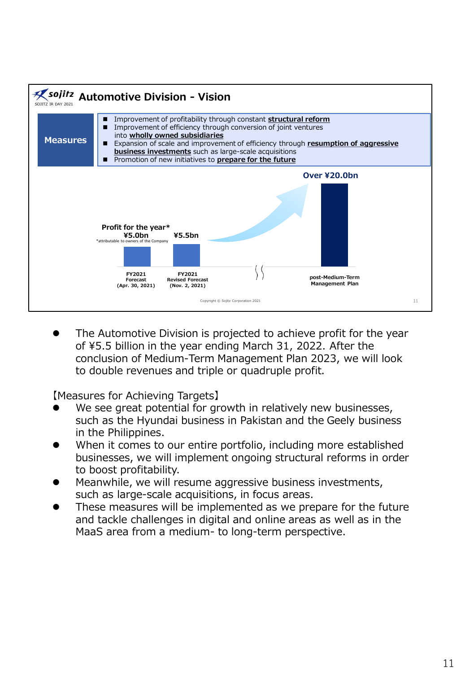

⚫ The Automotive Division is projected to achieve profit for the year of ¥5.5 billion in the year ending March 31, 2022. After the conclusion of Medium-Term Management Plan 2023, we will look to double revenues and triple or quadruple profit.

【Measures for Achieving Targets】

- We see great potential for growth in relatively new businesses, such as the Hyundai business in Pakistan and the Geely business in the Philippines.
- ⚫ When it comes to our entire portfolio, including more established businesses, we will implement ongoing structural reforms in order to boost profitability.
- Meanwhile, we will resume aggressive business investments, such as large-scale acquisitions, in focus areas.
- ⚫ These measures will be implemented as we prepare for the future and tackle challenges in digital and online areas as well as in the MaaS area from a medium- to long-term perspective.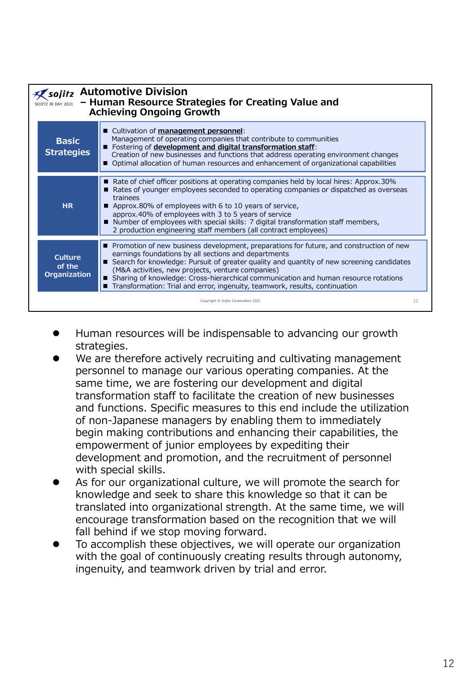| sojitz Automotive Division<br>- Human Resource Strategies for Creating Value and<br>SOJITZ IR DAY 2021<br><b>Achieving Ongoing Growth</b> |                                                                                                                                                                                                                                                                                                                                                                                                                                                                         |  |  |
|-------------------------------------------------------------------------------------------------------------------------------------------|-------------------------------------------------------------------------------------------------------------------------------------------------------------------------------------------------------------------------------------------------------------------------------------------------------------------------------------------------------------------------------------------------------------------------------------------------------------------------|--|--|
| <b>Basic</b><br><b>Strategies</b>                                                                                                         | ■ Cultivation of management personnel:<br>Management of operating companies that contribute to communities<br>Fostering of development and digital transformation staff:<br>Creation of new businesses and functions that address operating environment changes<br>■ Optimal allocation of human resources and enhancement of organizational capabilities                                                                                                               |  |  |
| <b>HR</b>                                                                                                                                 | Rate of chief officer positions at operating companies held by local hires: Approx.30%<br>Rates of younger employees seconded to operating companies or dispatched as overseas<br>trainees<br>Approx.80% of employees with 6 to 10 years of service,<br>approx.40% of employees with 3 to 5 years of service<br>■ Number of employees with special skills: 7 digital transformation staff members,<br>2 production engineering staff members (all contract employees)   |  |  |
| <b>Culture</b><br>of the<br><b>Organization</b>                                                                                           | Promotion of new business development, preparations for future, and construction of new<br>earnings foundations by all sections and departments<br>Search for knowledge: Pursuit of greater quality and quantity of new screening candidates<br>(M&A activities, new projects, venture companies)<br>Sharing of knowledge: Cross-hierarchical communication and human resource rotations<br>Transformation: Trial and error, ingenuity, teamwork, results, continuation |  |  |
|                                                                                                                                           | 12<br>Copyright © Sojitz Corporation 2021                                                                                                                                                                                                                                                                                                                                                                                                                               |  |  |

- ⚫ Human resources will be indispensable to advancing our growth strategies.
- We are therefore actively recruiting and cultivating management personnel to manage our various operating companies. At the same time, we are fostering our development and digital transformation staff to facilitate the creation of new businesses and functions. Specific measures to this end include the utilization of non-Japanese managers by enabling them to immediately begin making contributions and enhancing their capabilities, the empowerment of junior employees by expediting their development and promotion, and the recruitment of personnel with special skills.
- As for our organizational culture, we will promote the search for knowledge and seek to share this knowledge so that it can be translated into organizational strength. At the same time, we will encourage transformation based on the recognition that we will fall behind if we stop moving forward.
- ⚫ To accomplish these objectives, we will operate our organization with the goal of continuously creating results through autonomy, ingenuity, and teamwork driven by trial and error.